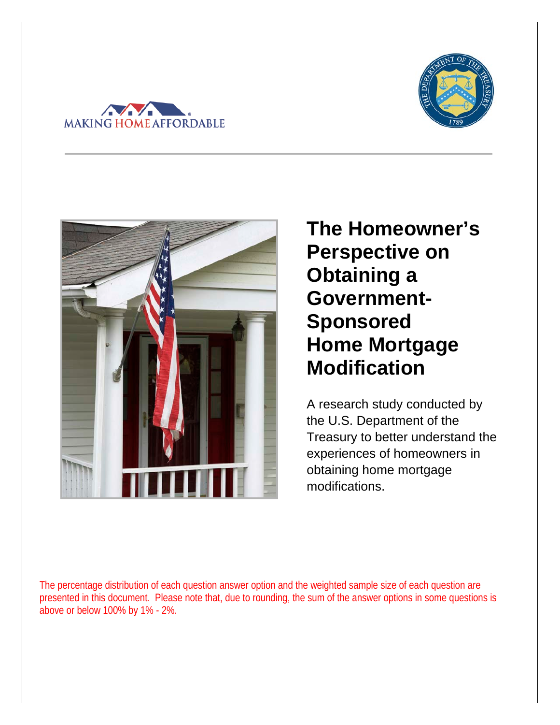





**The Homeowner's Perspective on Obtaining a Government-Sponsored Home Mortgage Modification** 

A research study conducted by the U.S. Department of the Treasury to better understand the experiences of homeowners in obtaining home mortgage modifications.

The percentage distribution of each question answer option and the weighted sample size of each question are presented in this document. Please note that, due to rounding, the sum of the answer options in some questions is above or below 100% by 1% - 2%.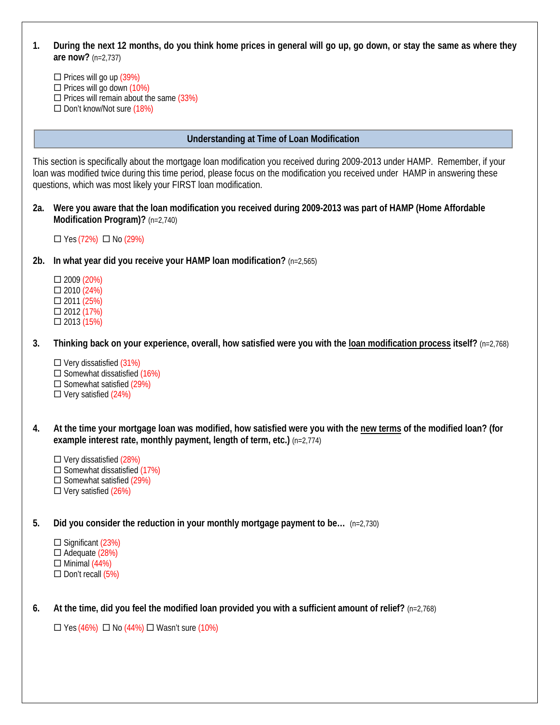### **1. During the next 12 months, do you think home prices in general will go up, go down, or stay the same as where they are now?** (n=2,737)

 $\Box$  Prices will go up (39%)  $\Box$  Prices will go down (10%)  $\Box$  Prices will remain about the same (33%)  $\Box$  Don't know/Not sure (18%)

### **Understanding at Time of Loan Modification**

This section is specifically about the mortgage loan modification you received during 2009-2013 under HAMP. Remember, if your loan was modified twice during this time period, please focus on the modification you received under HAMP in answering these questions, which was most likely your FIRST loan modification.

**2a. Were you aware that the loan modification you received during 2009-2013 was part of HAMP (Home Affordable Modification Program)?** (n=2,740)

 $\Box$  Yes (72%)  $\Box$  No (29%)

### **2b. In what year did you receive your HAMP loan modification?** (n=2,565)

- 2009 (20%)  $\Box$  2010 (24%)  $\Box$  2011 (25%) 2012 (17%)  $\Box$  2013 (15%)
- **3. Thinking back on your experience, overall, how satisfied were you with the loan modification process itself?** (n=2,768)
	- $\square$  Very dissatisfied (31%)  $\square$  Somewhat dissatisfied  $(16\%)$  $\Box$  Somewhat satisfied (29%)  $\Box$  Very satisfied (24%)
- **4. At the time your mortgage loan was modified, how satisfied were you with the new terms of the modified loan? (for example interest rate, monthly payment, length of term, etc.)** (n=2,774)
	- $\Box$  Very dissatisfied (28%)  $\square$  Somewhat dissatisfied  $(17%)$  $\Box$  Somewhat satisfied (29%)  $\Box$  Very satisfied (26%)
- **5. Did you consider the reduction in your monthly mortgage payment to be…** (n=2,730)
	- $\square$  Significant (23%)  $\Box$  Adequate (28%)  $\Box$  Minimal (44%)  $\square$  Don't recall (5%)
- **6. At the time, did you feel the modified loan provided you with a sufficient amount of relief?** (n=2,768)

 $\Box$  Yes (46%)  $\Box$  No (44%)  $\Box$  Wasn't sure (10%)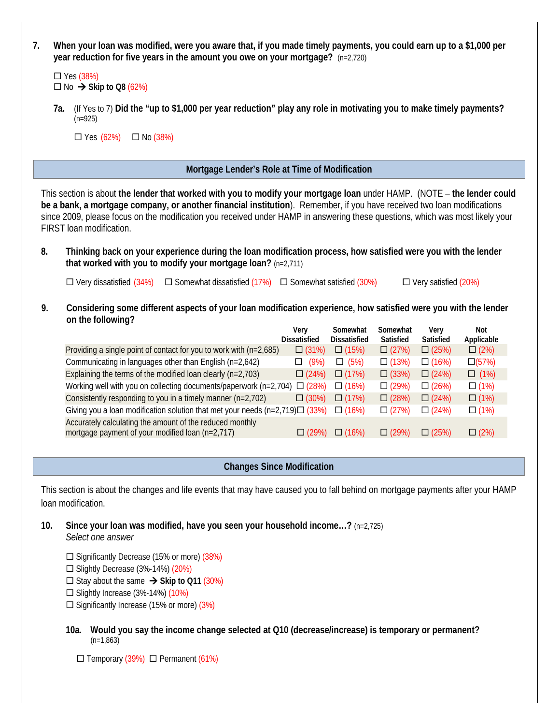| 7. | When your loan was modified, were you aware that, if you made timely payments, you could earn up to a \$1,000 per<br>year reduction for five years in the amount you owe on your mortgage? (n=2,720)                                                                                                                                                                                                                                                                                                                                                                                                   |                             |                                 |                       |                             |                   |  |  |  |  |
|----|--------------------------------------------------------------------------------------------------------------------------------------------------------------------------------------------------------------------------------------------------------------------------------------------------------------------------------------------------------------------------------------------------------------------------------------------------------------------------------------------------------------------------------------------------------------------------------------------------------|-----------------------------|---------------------------------|-----------------------|-----------------------------|-------------------|--|--|--|--|
|    | $\Box$ Yes (38%)<br>$\square$ No $\rightarrow$ Skip to Q8 (62%)                                                                                                                                                                                                                                                                                                                                                                                                                                                                                                                                        |                             |                                 |                       |                             |                   |  |  |  |  |
|    | (If Yes to 7) Did the "up to \$1,000 per year reduction" play any role in motivating you to make timely payments?<br>7a.<br>$(n=925)$                                                                                                                                                                                                                                                                                                                                                                                                                                                                  |                             |                                 |                       |                             |                   |  |  |  |  |
|    | $\Box$ Yes (62%)<br>$\Box$ No (38%)                                                                                                                                                                                                                                                                                                                                                                                                                                                                                                                                                                    |                             |                                 |                       |                             |                   |  |  |  |  |
|    | Mortgage Lender's Role at Time of Modification                                                                                                                                                                                                                                                                                                                                                                                                                                                                                                                                                         |                             |                                 |                       |                             |                   |  |  |  |  |
|    | This section is about the lender that worked with you to modify your mortgage loan under HAMP. (NOTE - the lender could<br>be a bank, a mortgage company, or another financial institution). Remember, if you have received two loan modifications<br>since 2009, please focus on the modification you received under HAMP in answering these questions, which was most likely your<br>FIRST loan modification.<br>Thinking back on your experience during the loan modification process, how satisfied were you with the lender<br>8.<br>that worked with you to modify your mortgage loan? (n=2,711) |                             |                                 |                       |                             |                   |  |  |  |  |
|    | $\Box$ Very dissatisfied (34%)<br>$\Box$ Somewhat dissatisfied (17%) $\Box$ Somewhat satisfied (30%)                                                                                                                                                                                                                                                                                                                                                                                                                                                                                                   |                             |                                 |                       | $\Box$ Very satisfied (20%) |                   |  |  |  |  |
| 9. | Considering some different aspects of your loan modification experience, how satisfied were you with the lender<br>on the following?                                                                                                                                                                                                                                                                                                                                                                                                                                                                   |                             |                                 |                       |                             |                   |  |  |  |  |
|    |                                                                                                                                                                                                                                                                                                                                                                                                                                                                                                                                                                                                        | Very<br><b>Dissatisfied</b> | Somewhat<br><b>Dissatisfied</b> | Somewhat<br>Satisfied | Very<br>Satisfied           | Not<br>Applicable |  |  |  |  |
|    | Providing a single point of contact for you to work with (n=2,685)                                                                                                                                                                                                                                                                                                                                                                                                                                                                                                                                     | $\Box$ (31%)                | $\Box$ (15%)                    | $\Box$ (27%)          | $\Box$ (25%)                | $\Box (2\%)$      |  |  |  |  |
|    | Communicating in languages other than English (n=2,642)                                                                                                                                                                                                                                                                                                                                                                                                                                                                                                                                                | $\Box$ (9%)                 | $\Box$ (5%)                     | $\Box$ (13%)          | $\Box$ (16%)                | $\Box(57%)$       |  |  |  |  |
|    | Explaining the terms of the modified loan clearly $(n=2,703)$                                                                                                                                                                                                                                                                                                                                                                                                                                                                                                                                          | $\Box$ (24%)                | $\Box$ (17%)                    | $\Box$ (33%)          | $\Box$ (24%)                | $\Box$ (1%)       |  |  |  |  |
|    | Working well with you on collecting documents/paperwork (n=2,704) $\Box$ (28%)                                                                                                                                                                                                                                                                                                                                                                                                                                                                                                                         |                             | $\Box$ (16%)                    | $\Box$ (29%)          | $\Box$ (26%)                | $\Box$ (1%)       |  |  |  |  |
|    | Consistently responding to you in a timely manner (n=2,702)                                                                                                                                                                                                                                                                                                                                                                                                                                                                                                                                            | $\Box$ (30%)                | $\Box$ (17%)                    | $\Box$ (28%)          | $\Box$ (24%)                | $\Box$ (1%)       |  |  |  |  |
|    | Giving you a loan modification solution that met your needs $(n=2,719)\Box$ (33%)                                                                                                                                                                                                                                                                                                                                                                                                                                                                                                                      |                             | $\Box$ (16%)                    | $\Box$ (27%)          | $\Box$ (24%)                | $\Box$ (1%)       |  |  |  |  |
|    | Accurately calculating the amount of the reduced monthly<br>mortgage payment of your modified loan (n=2,717)                                                                                                                                                                                                                                                                                                                                                                                                                                                                                           | $\Box$ (29%)                | $\Box$ (16%)                    | $\Box$ (29%)          | $\Box$ (25%)                | $\Box$ (2%)       |  |  |  |  |
|    | <b>Changes Since Modification</b>                                                                                                                                                                                                                                                                                                                                                                                                                                                                                                                                                                      |                             |                                 |                       |                             |                   |  |  |  |  |
|    | This section is about the changes and life events that may have caused you to fall behind on mortgage payments after your HAMP<br>loan modification.                                                                                                                                                                                                                                                                                                                                                                                                                                                   |                             |                                 |                       |                             |                   |  |  |  |  |

**10. Since your loan was modified, have you seen your household income…?** (n=2,725) *Select one answer*

□ Significantly Decrease (15% or more) (38%) □ Slightly Decrease (3%-14%) (20%)  $\square$  Stay about the same  $\rightarrow$  Skip to Q11 (30%)

 $\square$  Slightly Increase (3%-14%) (10%)

 $\square$  Significantly Increase (15% or more) (3%)

**10a. Would you say the income change selected at Q10 (decrease/increase) is temporary or permanent?**   $(n=1,863)$ 

 $\Box$  Temporary (39%)  $\Box$  Permanent (61%)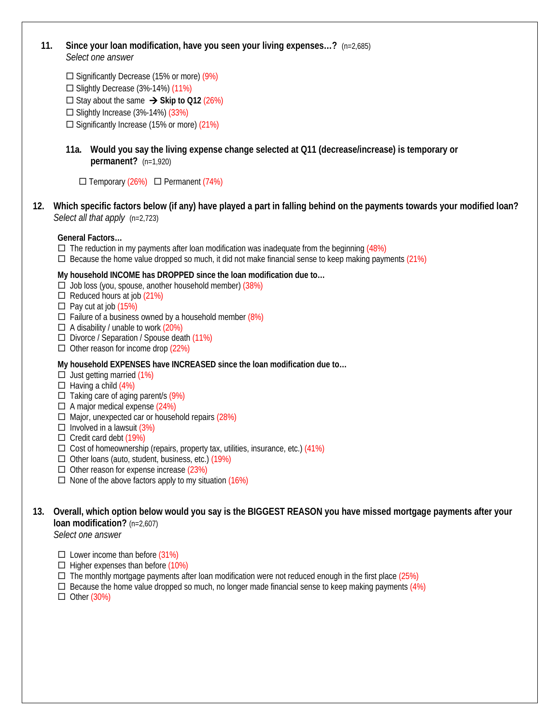**11. Since your loan modification, have you seen your living expenses…?** (n=2,685) *Select one answer*

 $\square$  Significantly Decrease (15% or more) (9%)

 $\square$  Slightly Decrease (3%-14%) (11%)

 $\square$  Stay about the same  $\rightarrow$  Skip to Q12 (26%)

 $\Box$  Slightly Increase (3%-14%) (33%)

 $\square$  Significantly Increase (15% or more) (21%)

**11a. Would you say the living expense change selected at Q11 (decrease/increase) is temporary or permanent?** (n=1,920)

 $\Box$  Temporary (26%)  $\Box$  Permanent (74%)

**12. Which specific factors below (if any) have played a part in falling behind on the payments towards your modified loan?**  *Select all that apply* (n=2,723)

## **General Factors…**

- $\Box$  The reduction in my payments after loan modification was inadequate from the beginning (48%)
- $\Box$  Because the home value dropped so much, it did not make financial sense to keep making payments (21%)

### **My household INCOME has DROPPED since the loan modification due to…**

- $\Box$  Job loss (you, spouse, another household member) (38%)
- $\Box$  Reduced hours at job (21%)
- $\Box$  Pay cut at job (15%)
- $\Box$  Failure of a business owned by a household member (8%)
- $\Box$  A disability / unable to work (20%)
- $\Box$  Divorce / Separation / Spouse death  $(11%)$
- $\Box$  Other reason for income drop (22%)

### **My household EXPENSES have INCREASED since the loan modification due to…**

- $\Box$  Just getting married (1%)
- $\Box$  Having a child (4%)
- $\Box$  Taking care of aging parent/s (9%)
- $\Box$  A major medical expense (24%)
- $\Box$  Major, unexpected car or household repairs (28%)
- $\Box$  Involved in a lawsuit (3%)
- $\Box$  Credit card debt (19%)
- $\square$  Cost of homeownership (repairs, property tax, utilities, insurance, etc.) (41%)
- $\Box$  Other loans (auto, student, business, etc.) (19%)
- $\Box$  Other reason for expense increase (23%)
- $\Box$  None of the above factors apply to my situation (16%)

# **13. Overall, which option below would you say is the BIGGEST REASON you have missed mortgage payments after your loan modification?** (n=2,607)

*Select one answer*

- $\Box$  Lower income than before (31%)
- $\Box$  Higher expenses than before (10%)
- $\Box$  The monthly mortgage payments after loan modification were not reduced enough in the first place (25%)
- $\Box$  Because the home value dropped so much, no longer made financial sense to keep making payments (4%)
- $\Box$  Other (30%)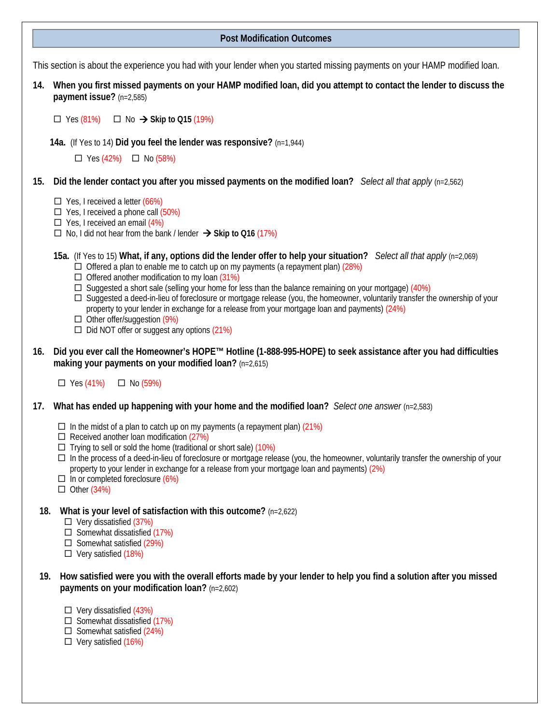### **Post Modification Outcomes**

This section is about the experience you had with your lender when you started missing payments on your HAMP modified loan.

**14. When you first missed payments on your HAMP modified loan, did you attempt to contact the lender to discuss the payment issue?** (n=2,585)

 $\Box$  Yes (81%)  $\Box$  No  $\rightarrow$  Skip to Q15 (19%)

 **14a.** (If Yes to 14) **Did you feel the lender was responsive?** (n=1,944)

 $\Box$  Yes (42%)  $\Box$  No (58%)

- **15. Did the lender contact you after you missed payments on the modified loan?** *Select all that apply* (n=2,562)
	- $\Box$  Yes, I received a letter (66%)
	- $\Box$  Yes, I received a phone call (50%)
	- $\Box$  Yes, I received an email (4%)
	- No, I did not hear from the bank / lender **Skip to Q16** (17%)

**15a.** (If Yes to 15) **What, if any, options did the lender offer to help your situation?** *Select all that apply* (n=2,069)

- $\Box$  Offered a plan to enable me to catch up on my payments (a repayment plan) (28%)
- $\Box$  Offered another modification to my loan (31%)
- $\Box$  Suggested a short sale (selling your home for less than the balance remaining on your mortgage) (40%)
- $\Box$  Suggested a deed-in-lieu of foreclosure or mortgage release (you, the homeowner, voluntarily transfer the ownership of your property to your lender in exchange for a release from your mortgage loan and payments) (24%)
- $\Box$  Other offer/suggestion (9%)
- $\Box$  Did NOT offer or suggest any options (21%)
- **16. Did you ever call the Homeowner's HOPE™ Hotline (1-888-995-HOPE) to seek assistance after you had difficulties making your payments on your modified loan?** (n=2,615)
	- $\Box$  Yes (41%)  $\Box$  No (59%)
- **17. What has ended up happening with your home and the modified loan?** *Select one answer* (n=2,583)
	- $\Box$  In the midst of a plan to catch up on my payments (a repayment plan) (21%)
	- $\Box$  Received another loan modification (27%)
	- $\Box$  Trying to sell or sold the home (traditional or short sale) (10%)
	- $\Box$  In the process of a deed-in-lieu of foreclosure or mortgage release (you, the homeowner, voluntarily transfer the ownership of your property to your lender in exchange for a release from your mortgage loan and payments) (2%)
	- $\Box$  In or completed foreclosure (6%)
	- $\Box$  Other (34%)
- **18. What is your level of satisfaction with this outcome?** (n=2,622)
	- $\Box$  Very dissatisfied (37%)
	- $\Box$  Somewhat dissatisfied (17%)
	- $\Box$  Somewhat satisfied (29%)
	- $\Box$  Very satisfied (18%)
- **19. How satisfied were you with the overall efforts made by your lender to help you find a solution after you missed payments on your modification loan?** (n=2,602)
	- $\Box$  Very dissatisfied (43%)
	- $\Box$  Somewhat dissatisfied (17%)
	- $\Box$  Somewhat satisfied (24%)
	- $\Box$  Very satisfied  $(16%)$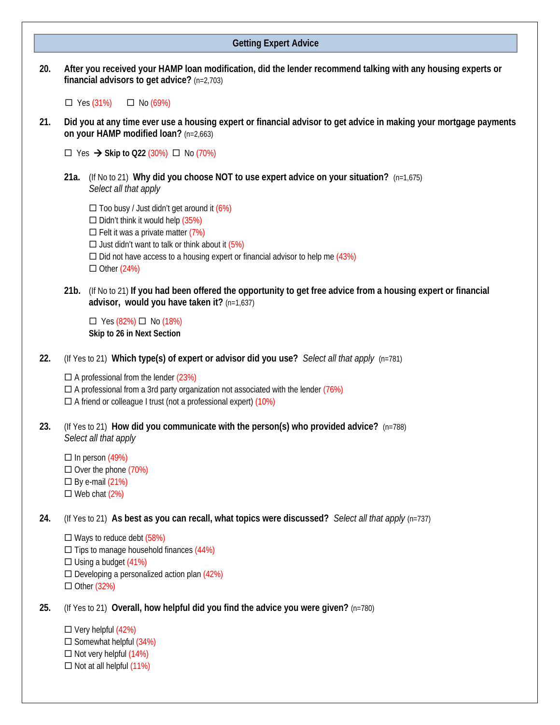#### **Getting Expert Advice**

**20. After you received your HAMP loan modification, did the lender recommend talking with any housing experts or financial advisors to get advice?** (n=2,703)

 $\Box$  Yes (31%)  $\Box$  No (69%)

**21. Did you at any time ever use a housing expert or financial advisor to get advice in making your mortgage payments on your HAMP modified loan?** (n=2,663)

 $\Box$  Yes  $\rightarrow$  Skip to Q22 (30%)  $\Box$  No (70%)

**21a.** (If No to 21) **Why did you choose NOT to use expert advice on your situation?** (n=1,675) *Select all that apply*

 $\Box$  Too busy / Just didn't get around it  $(6\%)$  $\Box$  Didn't think it would help  $(35%)$  $\Box$  Felt it was a private matter (7%)  $\Box$  Just didn't want to talk or think about it (5%)  $\square$  Did not have access to a housing expert or financial advisor to help me (43%)  $\Box$  Other (24%)

**21b.** (If No to 21) **If you had been offered the opportunity to get free advice from a housing expert or financial advisor, would you have taken it?** (n=1,637)

 $\Box$  Yes (82%)  $\Box$  No (18%) **Skip to 26 in Next Section**

**22.** (If Yes to 21) **Which type(s) of expert or advisor did you use?** *Select all that apply* (n=781)

 $\Box$  A professional from the lender (23%)  $\Box$  A professional from a 3rd party organization not associated with the lender (76%)  $\Box$  A friend or colleague I trust (not a professional expert) (10%)

**23.** (If Yes to 21) **How did you communicate with the person(s) who provided advice?** (n=788) *Select all that apply*

 $\Box$  In person (49%)  $\Box$  Over the phone (70%)  $\square$  By e-mail  $(21%)$  $\Box$  Web chat  $(2%)$ 

**24.** (If Yes to 21) **As best as you can recall, what topics were discussed?** *Select all that apply* (n=737)

 Ways to reduce debt (58%)  $\Box$  Tips to manage household finances (44%)  $\Box$  Using a budget (41%)  $\square$  Developing a personalized action plan (42%)  $\Box$  Other (32%)

**25.** (If Yes to 21) **Overall, how helpful did you find the advice you were given?** (n=780)

 $\square$  Very helpful (42%)  $\square$  Somewhat helpful  $(34%)$  $\Box$  Not very helpful  $(14%)$  $\Box$  Not at all helpful  $(11%)$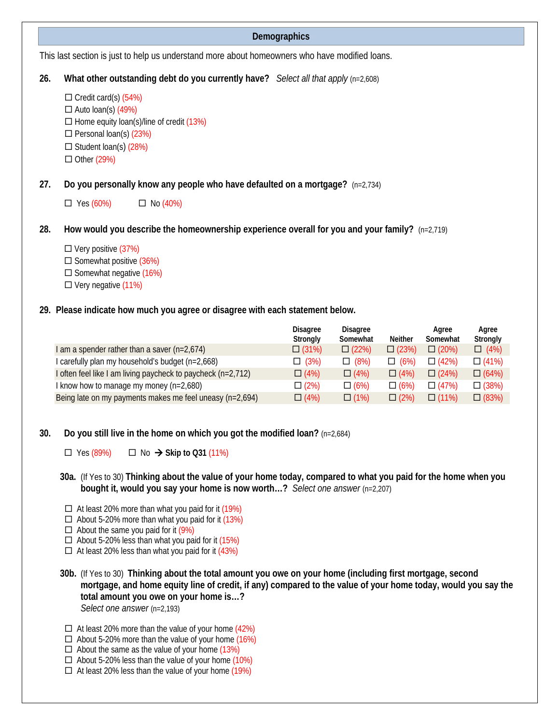## **Demographics**

This last section is just to help us understand more about homeowners who have modified loans.

- **26. What other outstanding debt do you currently have?** *Select all that apply* (n=2,608)
	- $\Box$  Credit card(s) (54%)  $\Box$  Auto loan(s) (49%)  $\Box$  Home equity loan(s)/line of credit (13%)  $\Box$  Personal loan(s) (23%)  $\Box$  Student loan(s) (28%)  $\Box$  Other (29%)
- **27. Do you personally know any people who have defaulted on a mortgage?** (n=2,734)
	- $\Box$  Yes (60%)  $\Box$  No (40%)
- **28. How would you describe the homeownership experience overall for you and your family?** (n=2,719)
	- $\Box$  Very positive (37%)  $\square$  Somewhat positive (36%)  $\square$  Somewhat negative (16%)  $\square$  Very negative  $(11\%)$
- **29. Please indicate how much you agree or disagree with each statement below.**

|                                                              | <b>Disagree</b><br>Strongly | <b>Disagree</b><br>Somewhat | <b>Neither</b> | Agree<br>Somewhat | Agree<br>Strongly |
|--------------------------------------------------------------|-----------------------------|-----------------------------|----------------|-------------------|-------------------|
| I am a spender rather than a saver $(n=2,674)$               | $\Box$ (31%)                | $\Box$ (22%)                | $\Box$ (23%)   | $\Box$ (20%)      | $\Box$ (4%)       |
| I carefully plan my household's budget (n=2,668)             | $\Box$ (3%)                 | $\Box$ (8%)                 | $\Box$ (6%)    | $\Box$ (42%)      | $\Box$ (41%)      |
| I often feel like I am living paycheck to paycheck (n=2,712) | $\Box$ (4%)                 | $\Box$ (4%)                 | $\Box$ (4%)    | $\Box$ (24%)      | $\Box$ (64%)      |
| I know how to manage my money $(n=2,680)$                    | $\Box$ (2%)                 | $\Box$ (6%)                 | $\Box$ (6%)    | $\Box$ (47%)      | $\Box$ (38%)      |
| Being late on my payments makes me feel uneasy (n=2,694)     | $\Box$ (4%)                 | $\Box$ (1%)                 | $\Box$ (2%)    | $\Box$ (11%)      | $\Box$ (83%)      |

- **30. Do you still live in the home on which you got the modified loan?** (n=2,684)
	- $\Box$  Yes (89%)  $\Box$  No  $\rightarrow$  Skip to Q31 (11%)
	- **30a.** (If Yes to 30) **Thinking about the value of your home today, compared to what you paid for the home when you bought it, would you say your home is now worth…?** *Select one answer* (n=2,207)
	- $\Box$  At least 20% more than what you paid for it (19%)
	- $\Box$  About 5-20% more than what you paid for it (13%)
	- $\Box$  About the same you paid for it (9%)
	- $\Box$  About 5-20% less than what you paid for it (15%)
	- $\Box$  At least 20% less than what you paid for it (43%)
	- **30b.** (If Yes to 30) **Thinking about the total amount you owe on your home (including first mortgage, second mortgage, and home equity line of credit, if any) compared to the value of your home today, would you say the total amount you owe on your home is…?**  *Select one answer* (n=2,193)
	- $\Box$  At least 20% more than the value of your home (42%)
	- $\Box$  About 5-20% more than the value of your home (16%)
	- $\Box$  About the same as the value of your home (13%)
	- $\Box$  About 5-20% less than the value of your home (10%)
	- $\Box$  At least 20% less than the value of your home (19%)